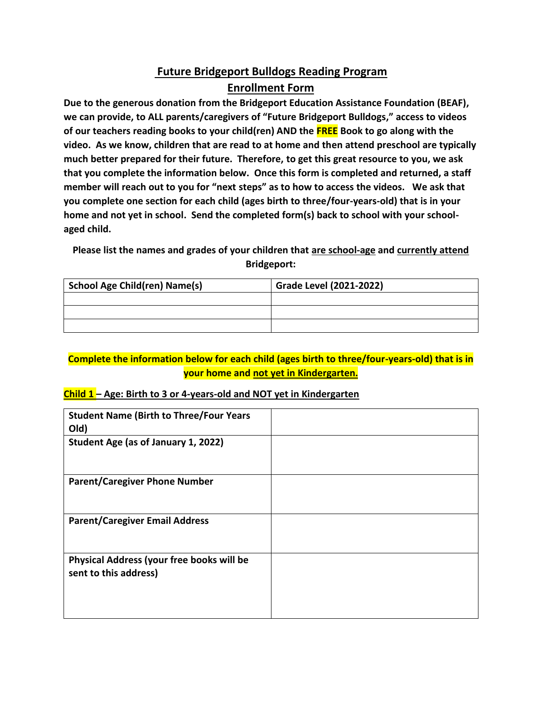# **Future Bridgeport Bulldogs Reading Program Enrollment Form**

**Due to the generous donation from the Bridgeport Education Assistance Foundation (BEAF), we can provide, to ALL parents/caregivers of "Future Bridgeport Bulldogs," access to videos of our teachers reading books to your child(ren) AND the FREE Book to go along with the video. As we know, children that are read to at home and then attend preschool are typically much better prepared for their future. Therefore, to get this great resource to you, we ask that you complete the information below. Once this form is completed and returned, a staff member will reach out to you for "next steps" as to how to access the videos. We ask that you complete one section for each child (ages birth to three/four-years-old) that is in your home and not yet in school. Send the completed form(s) back to school with your schoolaged child.** 

**Please list the names and grades of your children that are school-age and currently attend Bridgeport:**

| <b>School Age Child(ren) Name(s)</b> | <b>Grade Level (2021-2022)</b> |
|--------------------------------------|--------------------------------|
|                                      |                                |
|                                      |                                |
|                                      |                                |

### **Complete the information below for each child (ages birth to three/four-years-old) that is in your home and not yet in Kindergarten.**

#### **Child 1 – Age: Birth to 3 or 4-years-old and NOT yet in Kindergarten**

| <b>Student Name (Birth to Three/Four Years</b><br>Old)             |  |
|--------------------------------------------------------------------|--|
|                                                                    |  |
| Student Age (as of January 1, 2022)                                |  |
|                                                                    |  |
| <b>Parent/Caregiver Phone Number</b>                               |  |
|                                                                    |  |
| <b>Parent/Caregiver Email Address</b>                              |  |
| Physical Address (your free books will be<br>sent to this address) |  |
|                                                                    |  |